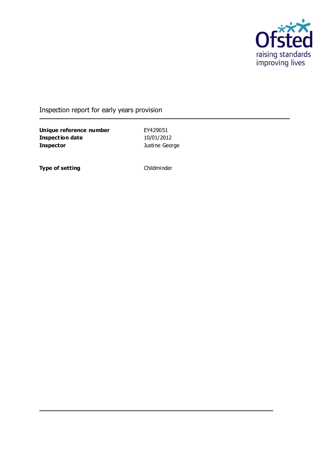

### Inspection report for early years provision

**Unique reference number** EY429051 **Inspection date** 10/01/2012 **Inspector Inspector Justine George** 

**Type of setting** Childminder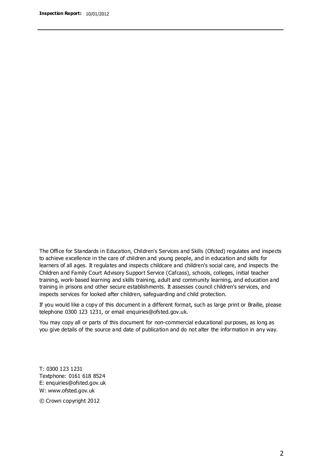The Office for Standards in Education, Children's Services and Skills (Ofsted) regulates and inspects to achieve excellence in the care of children and young people, and in education and skills for learners of all ages. It regulates and inspects childcare and children's social care, and inspects the Children and Family Court Advisory Support Service (Cafcass), schools, colleges, initial teacher training, work-based learning and skills training, adult and community learning, and education and training in prisons and other secure establishments. It assesses council children's services, and inspects services for looked after children, safeguarding and child protection.

If you would like a copy of this document in a different format, such as large print or Braille, please telephone 0300 123 1231, or email enquiries@ofsted.gov.uk.

You may copy all or parts of this document for non-commercial educational purposes, as long as you give details of the source and date of publication and do not alter the information in any way.

T: 0300 123 1231 Textphone: 0161 618 8524 E: enquiries@ofsted.gov.uk W: [www.ofsted.gov.uk](http://www.ofsted.gov.uk/)

© Crown copyright 2012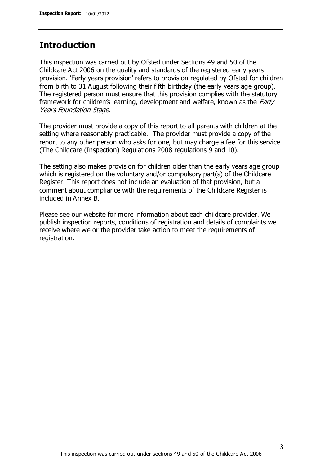### **Introduction**

This inspection was carried out by Ofsted under Sections 49 and 50 of the Childcare Act 2006 on the quality and standards of the registered early years provision. 'Early years provision' refers to provision regulated by Ofsted for children from birth to 31 August following their fifth birthday (the early years age group). The registered person must ensure that this provision complies with the statutory framework for children's learning, development and welfare, known as the *Early* Years Foundation Stage.

The provider must provide a copy of this report to all parents with children at the setting where reasonably practicable. The provider must provide a copy of the report to any other person who asks for one, but may charge a fee for this service (The Childcare (Inspection) Regulations 2008 regulations 9 and 10).

The setting also makes provision for children older than the early years age group which is registered on the voluntary and/or compulsory part(s) of the Childcare Register. This report does not include an evaluation of that provision, but a comment about compliance with the requirements of the Childcare Register is included in Annex B.

Please see our website for more information about each childcare provider. We publish inspection reports, conditions of registration and details of complaints we receive where we or the provider take action to meet the requirements of registration.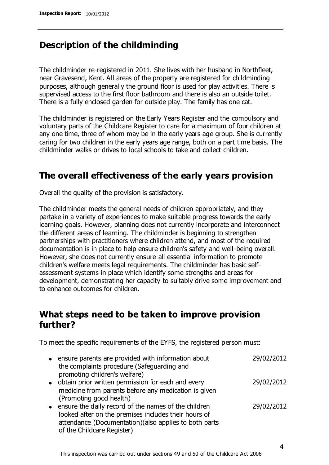## **Description of the childminding**

The childminder re-registered in 2011. She lives with her husband in Northfleet, near Gravesend, Kent. All areas of the property are registered for childminding purposes, although generally the ground floor is used for play activities. There is supervised access to the first floor bathroom and there is also an outside toilet. There is a fully enclosed garden for outside play. The family has one cat.

The childminder is registered on the Early Years Register and the compulsory and voluntary parts of the Childcare Register to care for a maximum of four children at any one time, three of whom may be in the early years age group. She is currently caring for two children in the early years age range, both on a part time basis. The childminder walks or drives to local schools to take and collect children.

## **The overall effectiveness of the early years provision**

Overall the quality of the provision is satisfactory.

The childminder meets the general needs of children appropriately, and they partake in a variety of experiences to make suitable progress towards the early learning goals. However, planning does not currently incorporate and interconnect the different areas of learning. The childminder is beginning to strengthen partnerships with practitioners where children attend, and most of the required documentation is in place to help ensure children's safety and well-being overall. However, she does not currently ensure all essential information to promote children's welfare meets legal requirements. The childminder has basic selfassessment systems in place which identify some strengths and areas for development, demonstrating her capacity to suitably drive some improvement and to enhance outcomes for children.

## **What steps need to be taken to improve provision further?**

To meet the specific requirements of the EYFS, the registered person must:

|  | • ensure parents are provided with information about   | 29/02/2012 |
|--|--------------------------------------------------------|------------|
|  | the complaints procedure (Safeguarding and             |            |
|  |                                                        |            |
|  | promoting children's welfare)                          |            |
|  | • obtain prior written permission for each and every   | 29/02/2012 |
|  | medicine from parents before any medication is given   |            |
|  |                                                        |            |
|  | (Promoting good health)                                |            |
|  | • ensure the daily record of the names of the children | 29/02/2012 |
|  |                                                        |            |
|  | looked after on the premises includes their hours of   |            |
|  | attendance (Documentation)(also applies to both parts  |            |
|  |                                                        |            |
|  | of the Childcare Register)                             |            |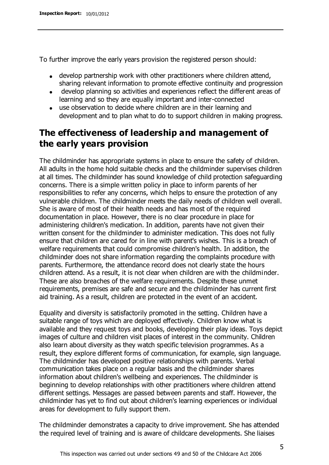To further improve the early years provision the registered person should:

- develop partnership work with other practitioners where children attend, sharing relevant information to promote effective continuity and progression
- develop planning so activities and experiences reflect the different areas of learning and so they are equally important and inter-connected
- use observation to decide where children are in their learning and development and to plan what to do to support children in making progress.

## **The effectiveness of leadership and management of the early years provision**

The childminder has appropriate systems in place to ensure the safety of children. All adults in the home hold suitable checks and the childminder supervises children at all times. The childminder has sound knowledge of child protection safeguarding concerns. There is a simple written policy in place to inform parents of her responsibilities to refer any concerns, which helps to ensure the protection of any vulnerable children. The childminder meets the daily needs of children well overall. She is aware of most of their health needs and has most of the required documentation in place. However, there is no clear procedure in place for administering children's medication. In addition, parents have not given their written consent for the childminder to administer medication. This does not fully ensure that children are cared for in line with parent's wishes. This is a breach of welfare requirements that could compromise children's health. In addition, the childminder does not share information regarding the complaints procedure with parents. Furthermore, the attendance record does not clearly state the hours children attend. As a result, it is not clear when children are with the childminder. These are also breaches of the welfare requirements. Despite these unmet requirements, premises are safe and secure and the childminder has current first aid training. As a result, children are protected in the event of an accident.

Equality and diversity is satisfactorily promoted in the setting. Children have a suitable range of toys which are deployed effectively. Children know what is available and they request toys and books, developing their play ideas. Toys depict images of culture and children visit places of interest in the community. Children also learn about diversity as they watch specific television programmes. As a result, they explore different forms of communication, for example, sign language. The childminder has developed positive relationships with parents. Verbal communication takes place on a regular basis and the childminder shares information about children's wellbeing and experiences. The childminder is beginning to develop relationships with other practitioners where children attend different settings. Messages are passed between parents and staff. However, the childminder has yet to find out about children's learning experiences or individual areas for development to fully support them.

The childminder demonstrates a capacity to drive improvement. She has attended the required level of training and is aware of childcare developments. She liaises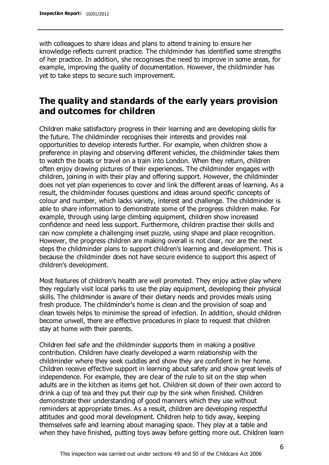with colleagues to share ideas and plans to attend training to ensure her knowledge reflects current practice. The childminder has identified some strengths of her practice. In addition, she recognises the need to improve in some areas, for example, improving the quality of documentation. However, the childminder has yet to take steps to secure such improvement.

### **The quality and standards of the early years provision and outcomes for children**

Children make satisfactory progress in their learning and are developing skills for the future. The childminder recognises their interests and provides real opportunities to develop interests further. For example, when children show a preference in playing and observing different vehicles, the childminder takes them to watch the boats or travel on a train into London. When they return, children often enjoy drawing pictures of their experiences. The childminder engages with children, joining in with their play and offering support. However, the childminder does not yet plan experiences to cover and link the different areas of learning. As a result, the childminder focuses questions and ideas around specific concepts of colour and number, which lacks variety, interest and challenge. The childminder is able to share information to demonstrate some of the progress children make. For example, through using large climbing equipment, children show increased confidence and need less support. Furthermore, children practise their skills and can now complete a challenging inset puzzle, using shape and place recognition. However, the progress children are making overall is not clear, nor are the next steps the childminder plans to support children's learning and development. This is because the childminder does not have secure evidence to support this aspect of children's development.

Most features of children's health are well promoted. They enjoy active play where they regularly visit local parks to use the play equipment, developing their physical skills. The childminder is aware of their dietary needs and provides meals using fresh produce. The childminder's home is clean and the provision of soap and clean towels helps to minimise the spread of infection. In addition, should children become unwell, there are effective procedures in place to request that children stay at home with their parents.

Children feel safe and the childminder supports them in making a positive contribution. Children have clearly developed a warm relationship with the childminder where they seek cuddles and show they are confident in her home. Children receive effective support in learning about safety and show great levels of independence. For example, they are clear of the rule to sit on the step when adults are in the kitchen as items get hot. Children sit down of their own accord to drink a cup of tea and they put their cup by the sink when finished. Children demonstrate their understanding of good manners which they use without reminders at appropriate times. As a result, children are developing respectful attitudes and good moral development. Children help to tidy away, keeping themselves safe and learning about managing space. They play at a table and when they have finished, putting toys away before getting more out. Children learn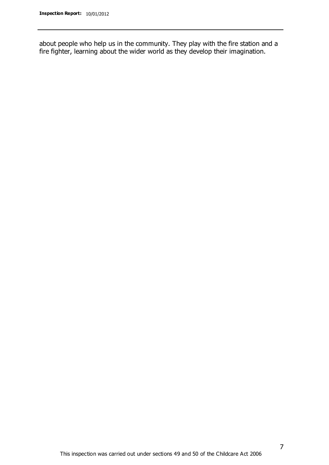about people who help us in the community. They play with the fire station and a fire fighter, learning about the wider world as they develop their imagination.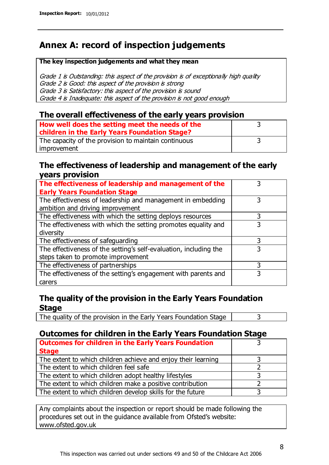## **Annex A: record of inspection judgements**

#### **The key inspection judgements and what they mean**

Grade 1 is Outstanding: this aspect of the provision is of exceptionally high quality Grade 2 is Good: this aspect of the provision is strong Grade 3 is Satisfactory: this aspect of the provision is sound Grade 4 is Inadequate: this aspect of the provision is not good enough

#### **The overall effectiveness of the early years provision**

| How well does the setting meet the needs of the<br>children in the Early Years Foundation Stage? |  |
|--------------------------------------------------------------------------------------------------|--|
| The capacity of the provision to maintain continuous                                             |  |
| improvement                                                                                      |  |

#### **The effectiveness of leadership and management of the early years provision**

| The effectiveness of leadership and management of the             |   |
|-------------------------------------------------------------------|---|
| <b>Early Years Foundation Stage</b>                               |   |
| The effectiveness of leadership and management in embedding       |   |
| ambition and driving improvement                                  |   |
| The effectiveness with which the setting deploys resources        |   |
| The effectiveness with which the setting promotes equality and    | 3 |
| diversity                                                         |   |
| The effectiveness of safeguarding                                 |   |
| The effectiveness of the setting's self-evaluation, including the | 3 |
| steps taken to promote improvement                                |   |
| The effectiveness of partnerships                                 | 3 |
| The effectiveness of the setting's engagement with parents and    |   |
| carers                                                            |   |

### **The quality of the provision in the Early Years Foundation Stage**

The quality of the provision in the Early Years Foundation Stage  $\vert$  3

### **Outcomes for children in the Early Years Foundation Stage**

| <b>Outcomes for children in the Early Years Foundation</b>    |  |
|---------------------------------------------------------------|--|
| <b>Stage</b>                                                  |  |
| The extent to which children achieve and enjoy their learning |  |
| The extent to which children feel safe                        |  |
| The extent to which children adopt healthy lifestyles         |  |
| The extent to which children make a positive contribution     |  |
| The extent to which children develop skills for the future    |  |

Any complaints about the inspection or report should be made following the procedures set out in the guidance available from Ofsted's website: www.ofsted.gov.uk